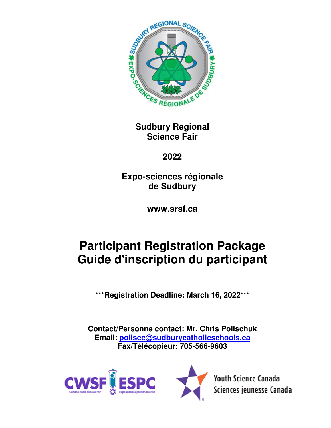

**Sudbury Regional Science Fair** 

**2022** 

**Expo-sciences régionale de Sudbury** 

**www.srsf.ca** 

# **Participant Registration Package Guide d'inscription du participant**

**\*\*\*Registration Deadline: March 16, 2022\*\*\*** 

**Contact/Personne contact: Mr. Chris Polischuk Email: poliscc@sudburycatholicschools.ca Fax/Télécopieur: 705-566-9603** 





**Youth Science Canada** Sciences jeunesse Canada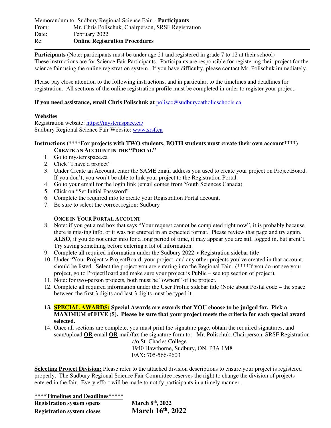**Participants** (Note: participants must be under age 21 and registered in grade 7 to 12 at their school) These instructions are for Science Fair Participants. Participants are responsible for registering their project for the science fair using the online registration system. If you have difficulty, please contact Mr. Polischuk immediately.

Please pay close attention to the following instructions, and in particular, to the timelines and deadlines for registration. All sections of the online registration profile must be completed in order to register your project.

### **If you need assistance, email Chris Polischuk at** poliscc@sudburycatholicschools.ca

#### **Websites**

Registration website: https://mystemspace.ca/ Sudbury Regional Science Fair Website: www.srsf.ca

#### **Instructions (\*\*\*\*For projects with TWO students, BOTH students must create their own account\*\*\*\*) CREATE AN ACCOUNT IN THE "PORTAL"**

- 1. Go to mystemspace.ca
- 2. Click "I have a project"
- 3. Under Create an Account, enter the SAME email address you used to create your project on ProjectBoard. If you don't, you won't be able to link your project to the Registration Portal.
- 4. Go to your email for the login link (email comes from Youth Sciences Canada)
- 5. Click on "Set Initial Password"
- 6. Complete the required info to create your Registration Portal account.
- 7. Be sure to select the correct region: Sudbury

## **ONCE IN YOUR PORTAL ACCOUNT**

- 8. Note: if you get a red box that says "Your request cannot be completed right now", it is probably because there is missing info, or it was not entered in an expected format. Please review that page and try again. **ALSO**, if you do not enter info for a long period of time, it may appear you are still logged in, but arent't. Try saving something before entering a lot of information.
- 9. Complete all required information under the Sudbury 2022 > Registration sidebar title
- 10. Under "Your Project > ProjectBoard, your project, and any other projects you've created in that account, should be listed. Select the project you are entering into the Regional Fair. (\*\*\*\*If you do not see your project, go to ProjectBoard and make sure your project is Public – see top section of project).
- 11. Note: for two-person projects, both must be "owners" of the project.
- 12. Complete all required information under the User Profile sidebar title (Note about Postal code the space between the first 3 digits and last 3 digits must be typed it.
- **13. SPECIAL AWARDS: Special Awards are awards that YOU choose to be judged for. Pick a MAXIMUM of FIVE (5). Please be sure that your project meets the criteria for each special award selected.**
- 14. Once all sections are complete, you must print the signature page, obtain the required signatures, and scan/upload **OR** email **OR** mail/fax the signature form to: Mr. Polischuk, Chairperson, SRSF Registration

 c/o St. Charles College 1940 Hawthorne, Sudbury, ON, P3A 1M8 FAX: 705-566-9603

**Selecting Project Division:** Please refer to the attached division descriptions to ensure your project is registered properly. The Sudbury Regional Science Fair Committee reserves the right to change the division of projects entered in the fair. Every effort will be made to notify participants in a timely manner.

**\*\*\*\*Timelines and Deadlines\*\*\*\*\*** 

| <b>Registration system opens</b>  | March 8 <sup>th</sup> , 2022 |
|-----------------------------------|------------------------------|
| <b>Registration system closes</b> | March 16th, 2022             |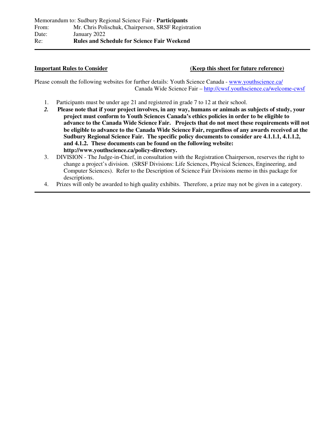### **Important Rules to Consider (Keep this sheet for future reference)**

Please consult the following websites for further details: Youth Science Canada - www.youthscience.ca/ Canada Wide Science Fair – http://cwsf.youthscience.ca/welcome-cwsf

- 1. Participants must be under age 21 and registered in grade 7 to 12 at their school.
- *2.* **Please note that if your project involves, in any way, humans or animals as subjects of study, your project must conform to Youth Sciences Canada's ethics policies in order to be eligible to advance to the Canada Wide Science Fair. Projects that do not meet these requirements will not be eligible to advance to the Canada Wide Science Fair, regardless of any awards received at the Sudbury Regional Science Fair. The specific policy documents to consider are 4.1.1.1, 4.1.1.2, and 4.1.2. These documents can be found on the following website: http://www.youthscience.ca/policy-directory.**
- 3. DIVISION The Judge-in-Chief, in consultation with the Registration Chairperson, reserves the right to change a project's division. (SRSF Divisions: Life Sciences, Physical Sciences, Engineering, and Computer Sciences). Refer to the Description of Science Fair Divisions memo in this package for descriptions.
- 4. Prizes will only be awarded to high quality exhibits. Therefore, a prize may not be given in a category.